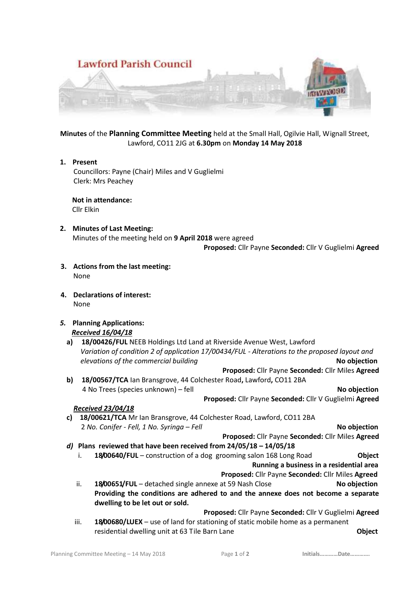

**Minutes** of the **Planning Committee Meeting** held at the Small Hall, Ogilvie Hall, Wignall Street, Lawford, CO11 2JG at **6.30pm** on **Monday 14 May 2018**

**1. Present** Councillors: Payne (Chair) Miles and V Guglielmi Clerk: Mrs Peachey

 **Not in attendance:** Cllr Elkin

**2. Minutes of Last Meeting:** Minutes of the meeting held on **9 April 2018** were agreed

**Proposed:** Cllr Payne **Seconded:** Cllr V Guglielmi **Agreed**

- **3. Actions from the last meeting:** None
- **4. Declarations of interest:** None
- *5.* **Planning Applications:** *Received 16/04/18*
	- **a) 18/00426/FUL** NEEB Holdings Ltd Land at Riverside Avenue West, Lawford *Variation of condition 2 of application 17/00434/FUL - Alterations to the proposed layout and elevations of the commercial building* **No objection**
		- **Proposed:** Cllr Payne **Seconded:** Cllr Miles **Agreed**
	- **b) 18/00567/TCA** Ian Bransgrove, 44 Colchester Road**,** Lawford**,** CO11 2BA 4 No Trees (species unknown) – fell **No objection**

# **Proposed:** Cllr Payne **Seconded:** Cllr V Guglielmi **Agreed**

# *Received 23/04/18*

**c) 18/00621/TCA** Mr Ian Bransgrove, 44 Colchester Road, Lawford, CO11 2BA 2 *No. Conifer - Fell, 1 No. Syringa – Fell* **No objection**

**Proposed:** Cllr Payne **Seconded:** Cllr Miles **Agreed**

- *d)* **Plans reviewed that have been received from 24/05/18 – 14/05/18**
	- i. **18/00640/FUL** construction of a dog grooming salon 168 Long Road **Object**

 **Running a business in a residential area Proposed:** Cllr Payne **Seconded:** Cllr Miles **Agreed**

ii. **18/00651/FUL** – detached single annexe at 59 Nash Close **No objection Providing the conditions are adhered to and the annexe does not become a separate dwelling to be let out or sold.**

**Proposed:** Cllr Payne **Seconded:** Cllr V Guglielmi **Agreed**

iii. **18/00680/LUEX** – use of land for stationing of static mobile home as a permanent residential dwelling unit at 63 Tile Barn Lane **Object**